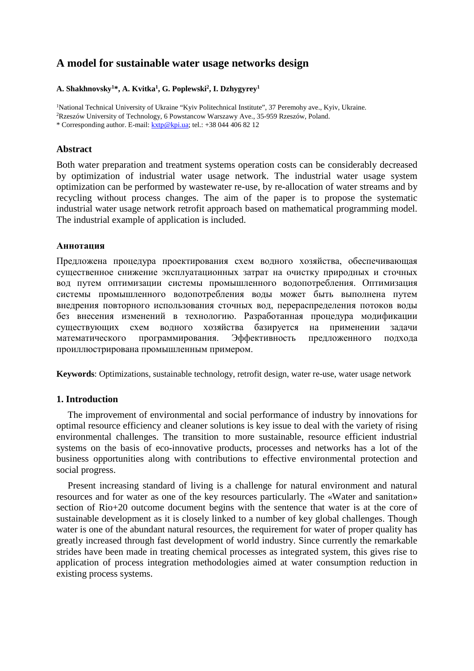# **A model for sustainable water usage networks design**

# **A. Shakhnovsky1 \*, A. Kvitka1 , G. Poplewski2 , I. Dzhygyrey1**

<sup>1</sup>National Technical University of Ukraine "Kyiv Politechnical Institute", 37 Peremohy ave., Kyiv, Ukraine. 2Rzeszów University of Technology, 6 Powstancow Warszawy Ave., 35-959 Rzeszów, Poland. \* Corresponding author. E-mail: [kxtp@kpi.ua;](mailto:kxtp@kpi.ua) tel.: +38 044 406 82 12

# **Abstract**

Both water preparation and treatment systems operation costs can be considerably decreased by optimization of industrial water usage network. The industrial water usage system optimization can be performed by wastewater re-use, by re-allocation of water streams and by recycling without process changes. The aim of the paper is to propose the systematic industrial water usage network retrofit approach based on mathematical programming model. The industrial example of application is included.

# **Аннотация**

Предложена процедура проектирования схем водного хозяйства, обеспечивающая существенное снижение эксплуатационных затрат на очистку природных и сточных вод путем оптимизации системы промышленного водопотребления. Оптимизация системы промышленного водопотребления воды может быть выполнена путем внедрения повторного использования сточных вод, перераспределения потоков воды без внесения изменений в технологию. Разработанная процедура модификации существующих схем водного хозяйства базируется на применении задачи математического программирования. Эффективность предложенного подхода проиллюстрирована промышленным примером.

**Keywords**: Optimizations, sustainable technology, retrofit design, water re-use, water usage network

# **1. Introduction**

The improvement of environmental and social performance of industry by innovations for optimal resource efficiency and cleaner solutions is key issue to deal with the variety of rising environmental challenges. The transition to more sustainable, resource efficient industrial systems on the basis of eco-innovative products, processes and networks has a lot of the business opportunities along with contributions to effective environmental protection and social progress.

Present increasing standard of living is a challenge for natural environment and natural resources and for water as one of the key resources particularly. The «Water and sanitation» section of Rio+20 outcome document begins with the sentence that water is at the core of sustainable development as it is closely linked to a number of key global challenges. Though water is one of the abundant natural resources, the requirement for water of proper quality has greatly increased through fast development of world industry. Since currently the remarkable strides have been made in treating chemical processes as integrated system, this gives rise to application of process integration methodologies aimed at water consumption reduction in existing process systems.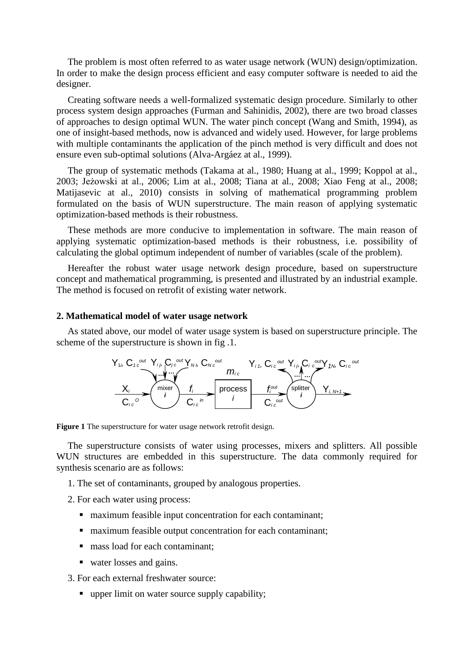The problem is most often referred to as water usage network (WUN) design/optimization. In order to make the design process efficient and easy computer software is needed to aid the designer.

Creating software needs a well-formalized systematic design procedure. Similarly to other process system design approaches (Furman and Sahinidis, 2002), there are two broad classes of approaches to design optimal WUN. The water pinch concept (Wang and Smith, 1994), as one of insight-based methods, now is advanced and widely used. However, for large problems with multiple contaminants the application of the pinch method is very difficult and does not ensure even sub-optimal solutions (Alva-Argáez at al., 1999).

The group of systematic methods (Takama at al., 1980; Huang at al., 1999; Koppol at al., 2003; Jeżowski at al., 2006; Lim at al., 2008; Tiana at al., 2008; Xiao Feng at al., 2008; Matijasevic at al., 2010) consists in solving of mathematical programming problem formulated on the basis of WUN superstructure. The main reason of applying systematic optimization-based methods is their robustness.

These methods are more conducive to implementation in software. The main reason of applying systematic optimization-based methods is their robustness, i.e. possibility of calculating the global optimum independent of number of variables (scale of the problem).

Hereafter the robust water usage network design procedure, based on superstructure concept and mathematical programming, is presented and illustrated by an industrial example. The method is focused on retrofit of existing water network.

### **2. Mathematical model of water usage network**

As stated above, our model of water usage system is based on superstructure principle. The scheme of the superstructure is shown in fig .1.

$$
Y_{1i}, C_{1c} \underbrace{\sum_{i} \underbrace{\sum_{i} \underbrace{\sum_{j} \underbrace{\sum_{j} \underbrace{\sum_{j} \underbrace{\sum_{j} \underbrace{\sum_{j} \underbrace{\sum_{j} \underbrace{\sum_{j} \underbrace{\sum_{j} \underbrace{\sum_{j} \underbrace{\sum_{j} \underbrace{\sum_{j} \underbrace{\sum_{j} \underbrace{\sum_{j} \underbrace{\sum_{j} \underbrace{\sum_{j} \underbrace{\sum_{j} \underbrace{\sum_{j} \underbrace{\sum_{j} \underbrace{\sum_{j} \underbrace{\sum_{j} \underbrace{\sum_{j} \underbrace{\sum_{j} \underbrace{\sum_{j} \underbrace{\sum_{j} \underbrace{\sum_{j} \underbrace{\sum_{j} \underbrace{\sum_{j} \underbrace{\sum_{j} \underbrace{\sum_{j} \underbrace{\sum_{j} \underbrace{\sum_{j} \underbrace{\sum_{j} \underbrace{\sum_{j} \underbrace{\sum_{j} \underbrace{\sum_{j} \underbrace{\sum_{j} \underbrace{\sum_{j} \underbrace{\sum_{j} \underbrace{\sum_{j} \underbrace{\sum_{j} \underbrace{\sum_{j} \underbrace{\sum_{j} \underbrace{\sum_{j} \underbrace{\sum_{j} \underbrace{\sum_{j} \underbrace{\sum_{j} \underbrace{\sum_{j} \underbrace{\sum_{j} \underbrace{\sum_{j} \underbrace{\sum_{j} \underbrace{\sum_{j} \underbrace{\sum_{j} \underbrace{\sum_{j} \underbrace{\sum_{j} \underbrace{\sum_{j} \underbrace{\sum_{j} \underbrace{\sum_{j} \underbrace{\sum_{j} \underbrace{\sum_{j} \underbrace{\sum_{j} \underbrace{\sum_{j} \underbrace{\sum_{j} \underbrace{\sum_{j} \underbrace{\sum_{j} \underbrace{\sum_{j} \underbrace{\sum_{j} \underbrace{\sum_{j} \underbrace{\sum_{j} \underbrace{\sum_{j} \underbrace{\sum_{j} \underbrace{\sum_{j} \underbrace{\sum_{j} \underbrace{\sum_{j} \underbrace{\sum_{j} \underbrace{\sum_{j} \underbrace{\sum_{j} \underbrace{\sum_{j} \underbrace{\sum_{j} \underbrace{\sum_{j} \underbrace{\sum_{j} \underbrace{\sum_{j} \underbrace{\sum_{j} \underbrace{\sum_{j} \underbrace{\sum_{j} \underbrace{\sum_{j} \underbrace{\sum_{j} \underbrace{\sum_{j} \underbrace{\sum_{j} \underbrace{\sum_{j} \underbrace{\sum_{j} \underbrace{\sum_{j} \underbrace{\sum
$$

**Figure 1** The superstructure for water usage network retrofit design.

The superstructure consists of water using processes, mixers and splitters. All possible WUN structures are embedded in this superstructure. The data commonly required for synthesis scenario are as follows:

- 1. The set of contaminants, grouped by analogous properties.
- 2. For each water using process:
	- maximum feasible input concentration for each contaminant;
	- maximum feasible output concentration for each contaminant;
	- mass load for each contaminant;
	- water losses and gains.

3. For each external freshwater source:

upper limit on water source supply capability;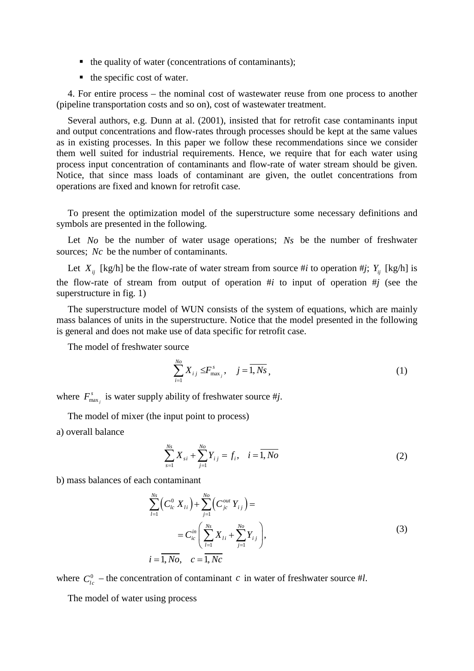- $\blacksquare$  the quality of water (concentrations of contaminants);
- $\blacksquare$  the specific cost of water.

4. For entire process – the nominal cost of wastewater reuse from one process to another (pipeline transportation costs and so on), cost of wastewater treatment.

Several authors, e.g. Dunn at al. (2001), insisted that for retrofit case contaminants input and output concentrations and flow-rates through processes should be kept at the same values as in existing processes. In this paper we follow these recommendations since we consider them well suited for industrial requirements. Hence, we require that for each water using process input concentration of contaminants and flow-rate of water stream should be given. Notice, that since mass loads of contaminant are given, the outlet concentrations from operations are fixed and known for retrofit case.

To present the optimization model of the superstructure some necessary definitions and symbols are presented in the following.

Let *No* be the number of water usage operations; *Ns* be the number of freshwater sources; *Nc* be the number of contaminants.

Let  $X_{ii}$  [kg/h] be the flow-rate of water stream from source #*i* to operation #*j*;  $Y_{ii}$  [kg/h] is the flow-rate of stream from output of operation #*i* to input of operation #*j* (see the superstructure in fig. 1)

The superstructure model of WUN consists of the system of equations, which are mainly mass balances of units in the superstructure. Notice that the model presented in the following is general and does not make use of data specific for retrofit case.

The model of freshwater source

$$
\sum_{i=1}^{N_o} X_{ij} \leq F_{\text{max}_j}^s, \quad j = \overline{1, Ns}, \tag{1}
$$

where  $F_{\max_j}^s$  is water supply ability of freshwater source #*j*.

The model of mixer (the input point to process) a) overall balance

$$
\sum_{s=1}^{N_s} X_{si} + \sum_{j=1}^{N_o} Y_{ij} = f_i, \quad i = \overline{1, No}
$$
 (2)

b) mass balances of each contaminant

$$
\sum_{l=1}^{N_S} \left( C_{lc}^0 X_{li} \right) + \sum_{j=1}^{N_o} \left( C_{jc}^{out} Y_{ij} \right) =
$$
\n
$$
= C_{ic}^{in} \left( \sum_{l=1}^{N_S} X_{li} + \sum_{j=1}^{N_o} Y_{ij} \right),
$$
\n
$$
i = \overline{1, No}, \quad c = \overline{1, Nc}
$$
\n(3)

where  $C_{i}^{0}$  – the concentration of contaminant *c* in water of freshwater source #*l*.

The model of water using process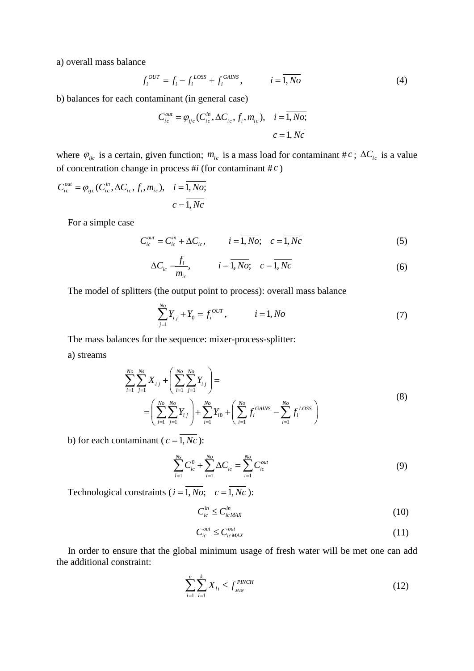a) overall mass balance

$$
f_i^{OUT} = f_i - f_i^{LOS} + f_i^{GANS}, \qquad i = \overline{1, No}
$$
 (4)

b) balances for each contaminant (in general case)

$$
C_{ic}^{out} = \varphi_{ijc}(C_{ic}^{in}, \Delta C_{ic}, f_i, m_{ic}), \quad i = 1, No;
$$
  

$$
c = 1, Nc
$$

where  $\varphi_{ijc}$  is a certain, given function;  $m_{ic}$  is a mass load for contaminant # *c*;  $\Delta C_{ic}$  is a value of concentration change in process #*i* (for contaminant # *c* )

$$
C_{ic}^{out} = \varphi_{ijc}(C_{ic}^{in}, \Delta C_{ic}, f_i, m_{ic}), \quad i = 1, No;
$$
  

$$
c = \overline{1, Nc}
$$

For a simple case

$$
C_{ic}^{out} = C_{ic}^{in} + \Delta C_{ic}, \qquad i = \overline{1, No}; \quad c = \overline{1, Nc}
$$
 (5)

$$
\Delta C_{ic} = \frac{f_i}{m_{ic}}, \qquad i = \overline{1, No}; \quad c = \overline{1, Nc}
$$
 (6)

The model of splitters (the output point to process): overall mass balance

$$
\sum_{j=1}^{N_o} Y_{i j} + Y_0 = f_i^{OUT}, \qquad i = \overline{1, No}
$$
 (7)

The mass balances for the sequence: mixer-process-splitter:

a) streams

$$
\sum_{i=1}^{N_o} \sum_{j=1}^{N_s} X_{ij} + \left(\sum_{i=1}^{N_o} \sum_{j=1}^{N_o} Y_{ij}\right) =
$$
\n
$$
= \left(\sum_{i=1}^{N_o} \sum_{j=1}^{N_o} Y_{ij}\right) + \sum_{i=1}^{N_o} Y_{i0} + \left(\sum_{i=1}^{N_o} f_i^{GAINS} - \sum_{i=1}^{N_o} f_i^{LOSS}\right)
$$
\n(8)

b) for each contaminant ( $c = \overline{1, Nc}$ ):

$$
\sum_{l=1}^{Ns} C_{lc}^0 + \sum_{i=1}^{No} \Delta C_{ic} = \sum_{i=1}^{No} C_{ic}^{out}
$$
 (9)

Technological constraints ( $i = \overline{1, No}$ ;  $c = \overline{1, Nc}$ ):

$$
C_{ic}^{in} \le C_{icMAX}^{in} \tag{10}
$$

$$
C_{ic}^{out} \le C_{icMAX}^{out} \tag{11}
$$

In order to ensure that the global minimum usage of fresh water will be met one can add the additional constraint:

$$
\sum_{i=1}^{n} \sum_{l=1}^{k} X_{li} \le f_{\min}^{\text{PINCH}} \tag{12}
$$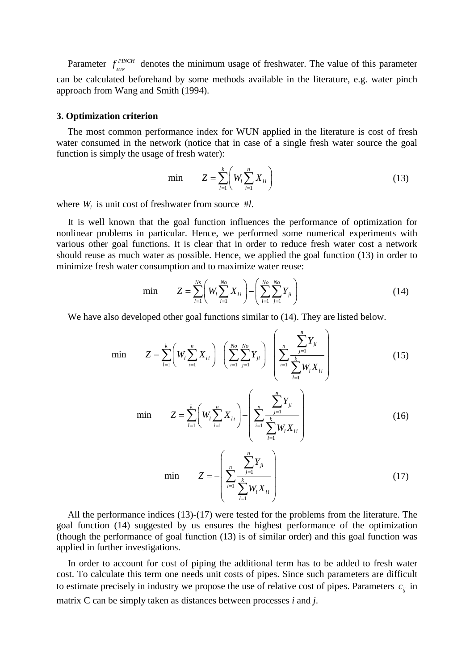Parameter  $f_{MN}^{PINCH}$  denotes the minimum usage of freshwater. The value of this parameter can be calculated beforehand by some methods available in the literature, e.g. water pinch approach from Wang and Smith (1994).

#### **3. Optimization criterion**

The most common performance index for WUN applied in the literature is cost of fresh water consumed in the network (notice that in case of a single fresh water source the goal function is simply the usage of fresh water):

min 
$$
Z = \sum_{l=1}^{k} \left( W_l \sum_{i=1}^{n} X_{li} \right)
$$
 (13)

where  $W_l$  is unit cost of freshwater from source #*l*.

It is well known that the goal function influences the performance of optimization for nonlinear problems in particular. Hence, we performed some numerical experiments with various other goal functions. It is clear that in order to reduce fresh water cost a network should reuse as much water as possible. Hence, we applied the goal function (13) in order to minimize fresh water consumption and to maximize water reuse:

$$
\min \qquad Z = \sum_{l=1}^{N_s} \left( W_l \sum_{i=1}^{N_o} X_{li} \right) - \left( \sum_{i=1}^{N_o} \sum_{j=1}^{N_o} Y_{ji} \right) \tag{14}
$$

We have also developed other goal functions similar to  $(14)$ . They are listed below.

$$
Z = \sum_{l=1}^{k} \left( W_l \sum_{i=1}^{n} X_{li} \right) - \left( \sum_{i=1}^{N_o} \sum_{j=1}^{N_o} Y_{ji} \right) - \left( \sum_{i=1}^{n} \frac{\sum_{j=1}^{n} Y_{ji}}{\sum_{l=1}^{k} W_l X_{li}} \right)
$$
(15)

min

min

$$
Z = \sum_{l=1}^{k} \left( W_l \sum_{i=1}^{n} X_{li} \right) - \left( \sum_{i=1}^{n} \frac{\sum_{j=1}^{n} Y_{ji}}{\sum_{l=1}^{k} W_l X_{li}} \right) \tag{16}
$$

$$
\min \qquad Z = -\left(\sum_{i=1}^{n} \frac{\sum_{j=1}^{n} Y_{ji}}{\sum_{l=1}^{k} W_{l} X_{li}}\right) \tag{17}
$$

All the performance indices (13)-(17) were tested for the problems from the literature. The goal function (14) suggested by us ensures the highest performance of the optimization (though the performance of goal function (13) is of similar order) and this goal function was applied in further investigations.

In order to account for cost of piping the additional term has to be added to fresh water cost. To calculate this term one needs unit costs of pipes. Since such parameters are difficult to estimate precisely in industry we propose the use of relative cost of pipes. Parameters  $c_{ii}$  in matrix C can be simply taken as distances between processes *i* and *j*.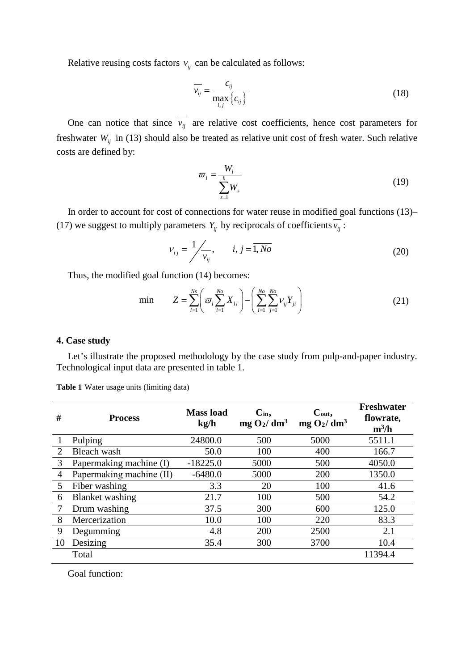Relative reusing costs factors  $v_{ij}$  can be calculated as follows:

$$
\overline{v_{ij}} = \frac{c_{ij}}{\max_{i,j} \{c_{ij}\}}
$$
(18)

One can notice that since  $\overline{v_{ij}}$  are relative cost coefficients, hence cost parameters for freshwater  $W_{ij}$  in (13) should also be treated as relative unit cost of fresh water. Such relative costs are defined by:

$$
\varpi_l = \frac{W_l}{\sum_{s=1}^k W_s} \tag{19}
$$

In order to account for cost of connections for water reuse in modified goal functions (13)– (17) we suggest to multiply parameters  $Y_{ij}$  by reciprocals of coefficients  $\overline{v_{ij}}$ :

$$
v_{ij} = \frac{1}{v_{ij}}, \qquad i, j = \overline{1, No}
$$
 (20)

Thus, the modified goal function (14) becomes:

$$
\min \qquad Z = \sum_{l=1}^{N_s} \left( \varpi_l \sum_{i=1}^{N_o} X_{li} \right) - \left( \sum_{i=1}^{N_o} \sum_{j=1}^{N_o} \nu_{ij} Y_{ji} \right) \tag{21}
$$

### **4. Case study**

Let's illustrate the proposed methodology by the case study from pulp-and-paper industry. Technological input data are presented in table 1.

| #              | <b>Process</b>           | <b>Mass</b> load<br>kg/h | $C_{in}$ ,<br>$mg O_2/dm^3$ | $C_{out}$<br>$mg O_2/dm^3$ | <b>Freshwater</b><br>flowrate,<br>$m^3/h$ |
|----------------|--------------------------|--------------------------|-----------------------------|----------------------------|-------------------------------------------|
|                | Pulping                  | 24800.0                  | 500                         | 5000                       | 5511.1                                    |
| 2              | Bleach wash              | 50.0                     | 100                         | 400                        | 166.7                                     |
| 3              | Papermaking machine (I)  | $-18225.0$               | 5000                        | 500                        | 4050.0                                    |
| $\overline{4}$ | Papermaking machine (II) | $-6480.0$                | 5000                        | 200                        | 1350.0                                    |
| 5              | Fiber washing            | 3.3                      | 20                          | 100                        | 41.6                                      |
| 6              | <b>Blanket</b> washing   | 21.7                     | 100                         | 500                        | 54.2                                      |
|                | Drum washing             | 37.5                     | 300                         | 600                        | 125.0                                     |
| 8              | Mercerization            | 10.0                     | 100                         | 220                        | 83.3                                      |
| 9              | Degumming                | 4.8                      | 200                         | 2500                       | 2.1                                       |
| 10             | Desizing                 | 35.4                     | 300                         | 3700                       | 10.4                                      |
|                | Total                    |                          |                             |                            | 11394.4                                   |

**Table 1** Water usage units (limiting data)

Goal function: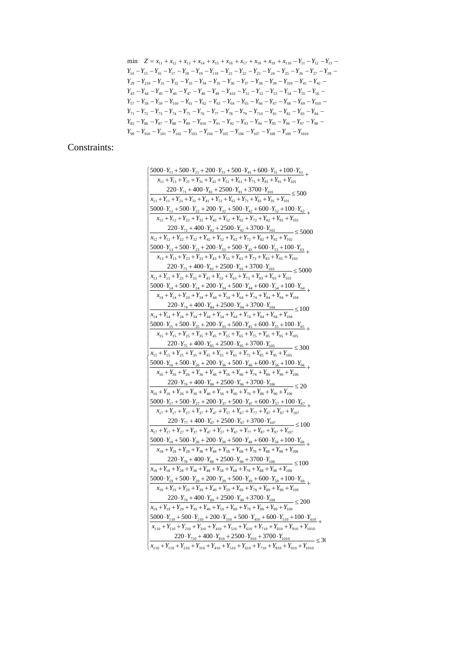$Y_{99} - Y_{910} - Y_{101} - Y_{102} - Y_{103} - Y_{104} - Y_{105} - Y_{106} - Y_{107} - Y_{108} - Y_{109} - Y_{1010}$  $Y_{85} - Y_{86} - Y_{87} - Y_{88} - Y_{89} - Y_{810} - Y_{91} - Y_{92} - Y_{93} - Y_{94} - Y_{95} - Y_{96} - Y_{97} - Y_{98} Y_{71} - Y_{72} - Y_{73} - Y_{74} - Y_{75} - Y_{76} - Y_{77} - Y_{78} - Y_{79} - Y_{710} - Y_{81} - Y_{82} - Y_{83} - Y_{84} Y_{57} - Y_{58} - Y_{59} - Y_{510} - Y_{61} - Y_{62} - Y_{63} - Y_{64} - Y_{65} - Y_{66} - Y_{67} - Y_{68} - Y_{69} - Y_{610} Y_{43} - Y_{44} - Y_{45} - Y_{46} - Y_{47} - Y_{48} - Y_{49} - Y_{410} - Y_{51} - Y_{52} - Y_{53} - Y_{54} - Y_{55} - Y_{56}$  $Y_{29} - Y_{210} - Y_{31} - Y_{32} - Y_{33} - Y_{34} - Y_{35} - Y_{36} - Y_{37} - Y_{38} - Y_{39} - Y_{310} - Y_{41} - Y_{42}$  $Y_{14} - Y_{15} - Y_{16} - Y_{17} - Y_{18} - Y_{19} - Y_{110} - Y_{21} - Y_{22} - Y_{23} - Y_{24} - Y_{25} - Y_{26} - Y_{27} - Y_{28} - Y_{27}$  $\min$   $Z = x_{11} + x_{12} + x_{13} + x_{14} + x_{15} + x_{16} + x_{17} + x_{18} + x_{19} + x_{110} - Y_{11} - Y_{12} - Y_{13}$ 

Constraints:

| $5000 \cdot Y_{11} + 500 \cdot Y_{21} + 200 \cdot Y_{31} + 500 \cdot Y_{41} + 600 \cdot Y_{51} + 100 \cdot Y_{61}$                                                                                                        |
|---------------------------------------------------------------------------------------------------------------------------------------------------------------------------------------------------------------------------|
| $X_{11} + Y_{11} + Y_{21} + Y_{31} + Y_{41} + Y_{51} + Y_{61} + Y_{71} + Y_{81} + Y_{91} + Y_{101}$                                                                                                                       |
| $220 \cdot Y_{71} + 400 \cdot Y_{81} + 2500 \cdot Y_{91} + 3700 \cdot Y_{101}$ $\leq 500$                                                                                                                                 |
| $X_{11} + Y_{11} + Y_{21} + Y_{31} + Y_{41} + Y_{51} + Y_{61} + Y_{71} + Y_{81} + Y_{91} + Y_{101}$                                                                                                                       |
| 5000 · $Y_{12}$ + 500 · $Y_{22}$ + 200 · $Y_{32}$ + 500 · $Y_{42}$ + 600 · $Y_{52}$ + 100 · $Y_{62}$ +                                                                                                                    |
| $X_{12} + Y_{12} + Y_{22} + Y_{32} + Y_{42} + Y_{52} + Y_{62} + Y_{72} + Y_{82} + Y_{92} + Y_{102}$                                                                                                                       |
| $220 \cdot Y_{72} + 400 \cdot Y_{82} + 2500 \cdot Y_{92} + 3700 \cdot Y_{102}$ $\leq 5000$                                                                                                                                |
| $X_{12} + Y_{12} + Y_{22} + Y_{32} + Y_{42} + Y_{52} + Y_{62} + Y_{72} + Y_{82} + Y_{92} + Y_{102}$                                                                                                                       |
| 5000 · $Y_{13}$ + 500 · $Y_{23}$ + 200 · $Y_{33}$ + 500 · $Y_{43}$ + 600 · $Y_{53}$ + 100 · $Y_{63}$ +                                                                                                                    |
| $X_{13} + Y_{13} + Y_{23} + Y_{33} + Y_{43} + Y_{53} + Y_{63} + Y_{73} + Y_{83} + Y_{93} + Y_{103}$                                                                                                                       |
| $220 \cdot Y_{73} + 400 \cdot Y_{83} + 2500 \cdot Y_{93} + 3700 \cdot Y_{103}$ $\leq 5000$                                                                                                                                |
| $X_{13} + Y_{13} + Y_{23} + Y_{33} + Y_{43} + Y_{53} + Y_{63} + Y_{73} + Y_{83} + Y_{93} + Y_{103}$                                                                                                                       |
| $5000 \cdot Y_{14} + 500 \cdot Y_{24} + 200 \cdot Y_{34} + 500 \cdot Y_{44} + 600 \cdot Y_{54} + 100 \cdot Y_{64}$                                                                                                        |
| $X_{14} + Y_{14} + Y_{24} + Y_{34} + Y_{44} + Y_{54} + Y_{64} + Y_{74} + Y_{84} + Y_{94} + Y_{104}$                                                                                                                       |
| $220 \cdot Y_{74} + \frac{400 \cdot Y_{84} + 2500 \cdot Y_{94} + 3700 \cdot Y_{104}}{2100} \le 100$                                                                                                                       |
| $X_{14} + Y_{14} + Y_{24} + Y_{34} + Y_{44} + Y_{54} + Y_{64} + Y_{74} + Y_{84} + Y_{94} + Y_{104}$                                                                                                                       |
| $5000 \cdot Y_{15} + 500 \cdot Y_{25} + 200 \cdot Y_{35} + 500 \cdot Y_{45} + 600 \cdot Y_{55} + 100 \cdot Y_{65}$                                                                                                        |
| $X_{15} + Y_{15} + Y_{25} + Y_{35} + Y_{45} + Y_{55} + Y_{65} + Y_{75} + Y_{85} + Y_{95} + Y_{105}$                                                                                                                       |
| $220 \cdot Y_{75} + 400 \cdot Y_{85} + 2500 \cdot Y_{95} + 3700 \cdot Y_{105}$ $\leq 300$                                                                                                                                 |
| $X_{15} + Y_{15} + Y_{25} + Y_{35} + Y_{45} + Y_{55} + Y_{65} + Y_{75} + Y_{85} + Y_{95} + Y_{105}$                                                                                                                       |
| 5000 · $Y_{16}$ + 500 · $Y_{26}$ + 200 · $Y_{36}$ + 500 · $Y_{46}$ + 600 · $Y_{56}$ + 100 · $Y_{66}$                                                                                                                      |
| $X_{16} + Y_{16} + Y_{26} + Y_{36} + Y_{46} + Y_{56} + Y_{66} + Y_{76} + Y_{86} + Y_{96} + Y_{106}$                                                                                                                       |
| $220 \cdot Y_{76} + 400 \cdot Y_{86} + 2500 \cdot Y_{96} + 3700 \cdot Y_{106}$ $\leq 20$                                                                                                                                  |
| $X_{16} + Y_{16} + Y_{26} + Y_{36} + Y_{46} + Y_{56} + Y_{66} + Y_{76} + Y_{86} + Y_{96} + Y_{106}$                                                                                                                       |
| $5000 \cdot Y_{17} + 500 \cdot Y_{27} + 200 \cdot Y_{37} + 500 \cdot Y_{47} + 600 \cdot Y_{57} + 100 \cdot Y_{67}$<br>$X_{17} + Y_{17} + Y_{27} + Y_{37} + Y_{47} + Y_{57} + Y_{67} + Y_{77} + Y_{87} + Y_{97} + Y_{107}$ |
| $220 \cdot Y_{77} + 400 \cdot Y_{87} + 2500 \cdot Y_{97} + 3700 \cdot Y_{107}$                                                                                                                                            |
| $ \leq$ 100<br>$X_{17} + Y_{17} + Y_{27} + Y_{37} + Y_{47} + Y_{57} + Y_{67} + Y_{77} + Y_{87} + Y_{97} + Y_{107}$                                                                                                        |
| $5000 \cdot Y_{18} + 500 \cdot Y_{28} + 200 \cdot Y_{38} + 500 \cdot Y_{48} + 600 \cdot Y_{58} + 100 \cdot Y_{68}$                                                                                                        |
| $X_{18} + Y_{18} + Y_{28} + Y_{38} + Y_{48} + Y_{58} + Y_{68} + Y_{78} + Y_{88} + Y_{98} + Y_{108}$                                                                                                                       |
| $220 \cdot Y_{78} + 400 \cdot Y_{88} + 2500 \cdot Y_{98} + 3700 \cdot Y_{108}$                                                                                                                                            |
| $-\leq 100$<br>$X_{18} + Y_{18} + Y_{28} + Y_{38} + Y_{48} + Y_{58} + Y_{68} + Y_{78} + Y_{88} + Y_{98} + Y_{108}$                                                                                                        |
| $5000 \cdot Y_{19} + 500 \cdot Y_{29} + 200 \cdot Y_{39} + 500 \cdot Y_{49} + 600 \cdot Y_{59} + 100 \cdot Y_{69}$                                                                                                        |
| $X_{19} + Y_{19} + Y_{29} + Y_{39} + Y_{49} + Y_{59} + Y_{69} + Y_{79} + Y_{89} + Y_{99} + Y_{109}$                                                                                                                       |
| $220 \cdot Y_{79} + 400 \cdot Y_{89} + 2500 \cdot Y_{99} + 3700 \cdot Y_{109}$ $\leq 200$                                                                                                                                 |
| $X_{19} + Y_{19} + Y_{29} + Y_{39} + Y_{49} + Y_{59} + Y_{69} + Y_{79} + Y_{89} + Y_{99} + Y_{109}$                                                                                                                       |
| 5000 · $Y_{110}$ + 500 · $Y_{210}$ + 200 · $Y_{310}$ + 500 · $Y_{410}$ + 600 · $Y_{510}$ + 100 · $Y_{610}$ +                                                                                                              |
| $X_{110} + Y_{110} + Y_{210} + Y_{310} + Y_{410} + Y_{510} + Y_{610} + Y_{710} + Y_{810} + Y_{910} + Y_{1010}$                                                                                                            |
| $220 \cdot Y_{710} + 400 \cdot Y_{810} + 2500 \cdot Y_{910} + 3700 \cdot Y_{1010}$<br>$-\leq 30$                                                                                                                          |
| $X_{110} + Y_{110} + Y_{210} + Y_{310} + Y_{410} + Y_{510} + Y_{610} + Y_{710} + Y_{810} + Y_{910} + Y_{1010}$                                                                                                            |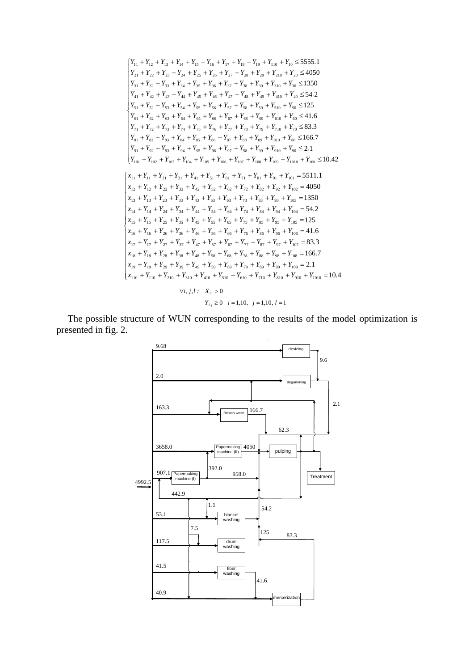$$
\begin{cases}\nY_{11} + Y_{12} + Y_{13} + Y_{14} + Y_{15} + Y_{16} + Y_{17} + Y_{18} + Y_{19} + Y_{10} + Y_{10} \le 5555.1 \\
Y_{21} + Y_{22} + Y_{23} + Y_{24} + Y_{25} + Y_{26} + Y_{27} + Y_{28} + Y_{29} + Y_{210} + Y_{20} \le 4050 \\
Y_{31} + Y_{32} + Y_{33} + Y_{34} + Y_{35} + Y_{36} + Y_{37} + Y_{38} + Y_{39} + Y_{310} + Y_{30} \le 1350 \\
Y_{41} + Y_{42} + Y_{43} + Y_{44} + Y_{45} + Y_{46} + Y_{47} + Y_{48} + Y_{49} + Y_{410} + Y_{40} \le 54.2 \\
Y_{51} + Y_{52} + Y_{53} + Y_{54} + Y_{55} + Y_{56} + Y_{57} + Y_{58} + Y_{59} + Y_{510} + Y_{60} \le 11.6 \\
Y_{61} + Y_{62} + Y_{63} + Y_{64} + Y_{65} + Y_{66} + Y_{67} + Y_{68} + Y_{69} + Y_{61} + Y_{60} \le 11.6 \\
Y_{71} + Y_{72} + Y_{73} + Y_{74} + Y_{75} + Y_{76} + Y_{77} + Y_{78} + Y_{79} + Y_{710} + Y_{70} \le 83.3 \\
Y_{81} + Y_{82} + Y_{83} + Y_{84} + Y_{85} + Y_{86} + Y_{87} + Y_{88} + Y_{89} + Y_{810} + Y_{80} \le 1166.7 \\
Y_{91} + Y_{92} + Y_{93} + Y_{94} + Y_{95} + Y_{96} + Y_{97} + Y_{98} + Y_{99} + Y_{910} + Y_{90} \le 2.1 \\
Y_{101} + Y_{102} + Y_{103} + Y_{104} + Y_{105} + Y_{106} + Y_{107} + Y_{108} + Y_{109} + Y_{100} + Y_{100} \le 10.42 \\
Y_{
$$

The possible structure of WUN corresponding to the results of the model optimization is presented in fig. 2.